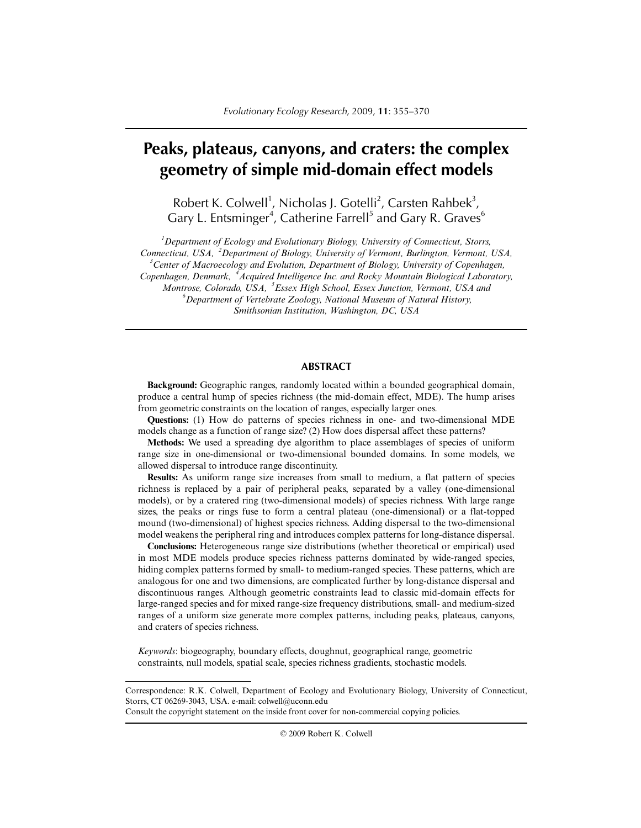# **Peaks, plateaus, canyons, and craters: the complex geometry of simple mid-domain effect models**

Robert K. Colwell<sup>1</sup>, Nicholas J. Gotelli<sup>2</sup>, Carsten Rahbek<sup>3</sup>, Gary L. Entsminger<sup>4</sup>, Catherine Farrell<sup>5</sup> and Gary R. Graves<sup>6</sup>

*1 Department of Ecology and Evolutionary Biology, University of Connecticut, Storrs, Connecticut, USA, <sup>2</sup> Department of Biology, University of Vermont, Burlington, Vermont, USA, 3 Center of Macroecology and Evolution, Department of Biology, University of Copenhagen, Copenhagen, Denmark, <sup>4</sup> Acquired Intelligence Inc. and Rocky Mountain Biological Laboratory, Montrose, Colorado, USA, <sup>5</sup> Essex High School, Essex Junction, Vermont, USA and 6 Department of Vertebrate Zoology, National Museum of Natural History, Smithsonian Institution, Washington, DC, USA*

## **ABSTRACT**

**Background:** Geographic ranges, randomly located within a bounded geographical domain, produce a central hump of species richness (the mid-domain effect, MDE). The hump arises from geometric constraints on the location of ranges, especially larger ones.

**Questions:** (1) How do patterns of species richness in one- and two-dimensional MDE models change as a function of range size? (2) How does dispersal affect these patterns?

**Methods:** We used a spreading dye algorithm to place assemblages of species of uniform range size in one-dimensional or two-dimensional bounded domains. In some models, we allowed dispersal to introduce range discontinuity.

**Results:** As uniform range size increases from small to medium, a flat pattern of species richness is replaced by a pair of peripheral peaks, separated by a valley (one-dimensional models), or by a cratered ring (two-dimensional models) of species richness. With large range sizes, the peaks or rings fuse to form a central plateau (one-dimensional) or a flat-topped mound (two-dimensional) of highest species richness. Adding dispersal to the two-dimensional model weakens the peripheral ring and introduces complex patterns for long-distance dispersal.

**Conclusions:** Heterogeneous range size distributions (whether theoretical or empirical) used in most MDE models produce species richness patterns dominated by wide-ranged species, hiding complex patterns formed by small- to medium-ranged species. These patterns, which are analogous for one and two dimensions, are complicated further by long-distance dispersal and discontinuous ranges. Although geometric constraints lead to classic mid-domain effects for large-ranged species and for mixed range-size frequency distributions, small- and medium-sized ranges of a uniform size generate more complex patterns, including peaks, plateaus, canyons, and craters of species richness.

*Keywords*: biogeography, boundary effects, doughnut, geographical range, geometric constraints, null models, spatial scale, species richness gradients, stochastic models.

© 2009 Robert K. Colwell

Correspondence: R.K. Colwell, Department of Ecology and Evolutionary Biology, University of Connecticut, Storrs, CT 06269-3043, USA. e-mail: colwell@uconn.edu

Consult the copyright statement on the inside front cover for non-commercial copying policies.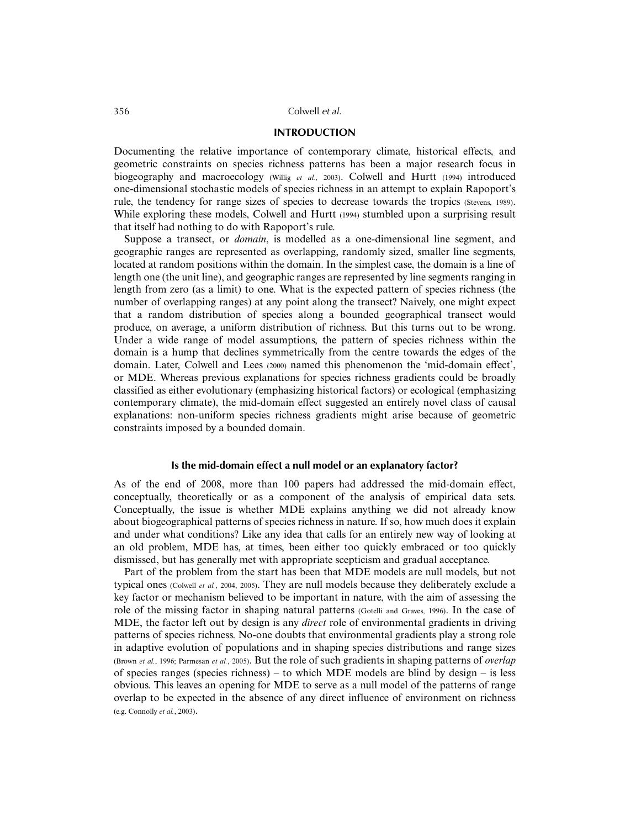## **INTRODUCTION**

Documenting the relative importance of contemporary climate, historical effects, and geometric constraints on species richness patterns has been a major research focus in biogeography and macroecology (Willig *et al.*, 2003). Colwell and Hurtt (1994) introduced one-dimensional stochastic models of species richness in an attempt to explain Rapoport's rule, the tendency for range sizes of species to decrease towards the tropics (Stevens, 1989). While exploring these models, Colwell and Hurtt (1994) stumbled upon a surprising result that itself had nothing to do with Rapoport's rule.

Suppose a transect, or *domain*, is modelled as a one-dimensional line segment, and geographic ranges are represented as overlapping, randomly sized, smaller line segments, located at random positions within the domain. In the simplest case, the domain is a line of length one (the unit line), and geographic ranges are represented by line segments ranging in length from zero (as a limit) to one. What is the expected pattern of species richness (the number of overlapping ranges) at any point along the transect? Naively, one might expect that a random distribution of species along a bounded geographical transect would produce, on average, a uniform distribution of richness. But this turns out to be wrong. Under a wide range of model assumptions, the pattern of species richness within the domain is a hump that declines symmetrically from the centre towards the edges of the domain. Later, Colwell and Lees (2000) named this phenomenon the 'mid-domain effect', or MDE. Whereas previous explanations for species richness gradients could be broadly classified as either evolutionary (emphasizing historical factors) or ecological (emphasizing contemporary climate), the mid-domain effect suggested an entirely novel class of causal explanations: non-uniform species richness gradients might arise because of geometric constraints imposed by a bounded domain.

## **Is the mid-domain effect a null model or an explanatory factor?**

As of the end of 2008, more than 100 papers had addressed the mid-domain effect, conceptually, theoretically or as a component of the analysis of empirical data sets. Conceptually, the issue is whether MDE explains anything we did not already know about biogeographical patterns of species richness in nature. If so, how much does it explain and under what conditions? Like any idea that calls for an entirely new way of looking at an old problem, MDE has, at times, been either too quickly embraced or too quickly dismissed, but has generally met with appropriate scepticism and gradual acceptance.

Part of the problem from the start has been that MDE models are null models, but not typical ones (Colwell *et al.*, 2004, 2005). They are null models because they deliberately exclude a key factor or mechanism believed to be important in nature, with the aim of assessing the role of the missing factor in shaping natural patterns (Gotelli and Graves, 1996). In the case of MDE, the factor left out by design is any *direct* role of environmental gradients in driving patterns of species richness. No-one doubts that environmental gradients play a strong role in adaptive evolution of populations and in shaping species distributions and range sizes (Brown *et al.*, 1996; Parmesan *et al.*, 2005). But the role of such gradients in shaping patterns of *overlap* of species ranges (species richness) – to which MDE models are blind by design – is less obvious. This leaves an opening for MDE to serve as a null model of the patterns of range overlap to be expected in the absence of any direct influence of environment on richness (e.g. Connolly *et al.*, 2003).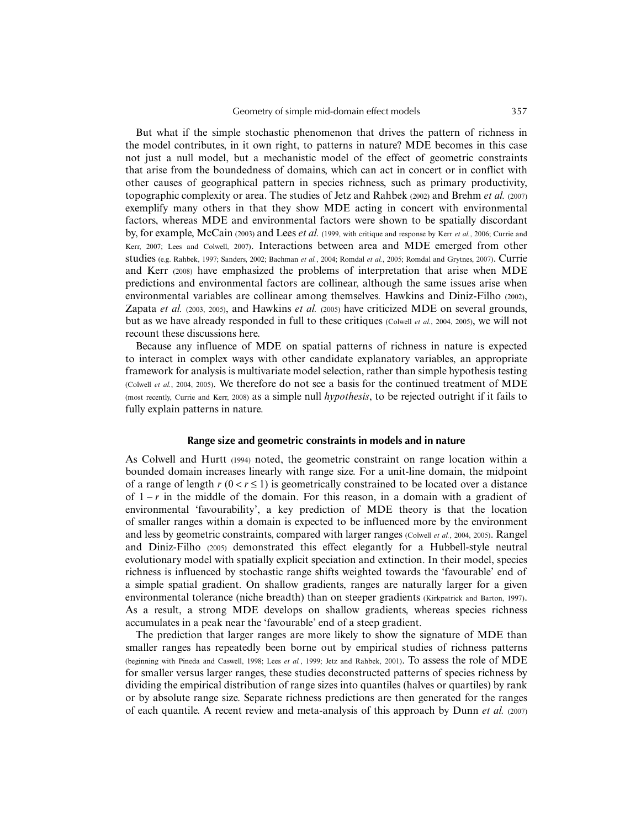But what if the simple stochastic phenomenon that drives the pattern of richness in the model contributes, in it own right, to patterns in nature? MDE becomes in this case not just a null model, but a mechanistic model of the effect of geometric constraints that arise from the boundedness of domains, which can act in concert or in conflict with other causes of geographical pattern in species richness, such as primary productivity, topographic complexity or area. The studies of Jetz and Rahbek (2002) and Brehm *et al.* (2007) exemplify many others in that they show MDE acting in concert with environmental factors, whereas MDE and environmental factors were shown to be spatially discordant by, for example, McCain (2003) and Lees *et al.* (1999, with critique and response by Kerr *et al.*, 2006; Currie and Kerr, 2007; Lees and Colwell, 2007). Interactions between area and MDE emerged from other studies (e.g. Rahbek, 1997; Sanders, 2002; Bachman *et al.*, 2004; Romdal *et al.*, 2005; Romdal and Grytnes, 2007). Currie and Kerr (2008) have emphasized the problems of interpretation that arise when MDE predictions and environmental factors are collinear, although the same issues arise when environmental variables are collinear among themselves. Hawkins and Diniz-Filho (2002), Zapata *et al.* (2003, 2005), and Hawkins *et al.* (2005) have criticized MDE on several grounds, but as we have already responded in full to these critiques (Colwell *et al.*, 2004, 2005), we will not recount these discussions here.

Because any influence of MDE on spatial patterns of richness in nature is expected to interact in complex ways with other candidate explanatory variables, an appropriate framework for analysis is multivariate model selection, rather than simple hypothesis testing (Colwell *et al.*, 2004, 2005). We therefore do not see a basis for the continued treatment of MDE (most recently, Currie and Kerr, 2008) as a simple null *hypothesis*, to be rejected outright if it fails to fully explain patterns in nature.

#### **Range size and geometric constraints in models and in nature**

As Colwell and Hurtt (1994) noted, the geometric constraint on range location within a bounded domain increases linearly with range size. For a unit-line domain, the midpoint of a range of length  $r$  ( $0 < r \le 1$ ) is geometrically constrained to be located over a distance of 1 − *r* in the middle of the domain. For this reason, in a domain with a gradient of environmental 'favourability', a key prediction of MDE theory is that the location of smaller ranges within a domain is expected to be influenced more by the environment and less by geometric constraints, compared with larger ranges (Colwell *et al.*, 2004, 2005). Rangel and Diniz-Filho (2005) demonstrated this effect elegantly for a Hubbell-style neutral evolutionary model with spatially explicit speciation and extinction. In their model, species richness is influenced by stochastic range shifts weighted towards the 'favourable' end of a simple spatial gradient. On shallow gradients, ranges are naturally larger for a given environmental tolerance (niche breadth) than on steeper gradients (Kirkpatrick and Barton, 1997). As a result, a strong MDE develops on shallow gradients, whereas species richness accumulates in a peak near the 'favourable' end of a steep gradient.

The prediction that larger ranges are more likely to show the signature of MDE than smaller ranges has repeatedly been borne out by empirical studies of richness patterns (beginning with Pineda and Caswell, 1998; Lees *et al.*, 1999; Jetz and Rahbek, 2001). To assess the role of MDE for smaller versus larger ranges, these studies deconstructed patterns of species richness by dividing the empirical distribution of range sizes into quantiles (halves or quartiles) by rank or by absolute range size. Separate richness predictions are then generated for the ranges of each quantile. A recent review and meta-analysis of this approach by Dunn *et al.* (2007)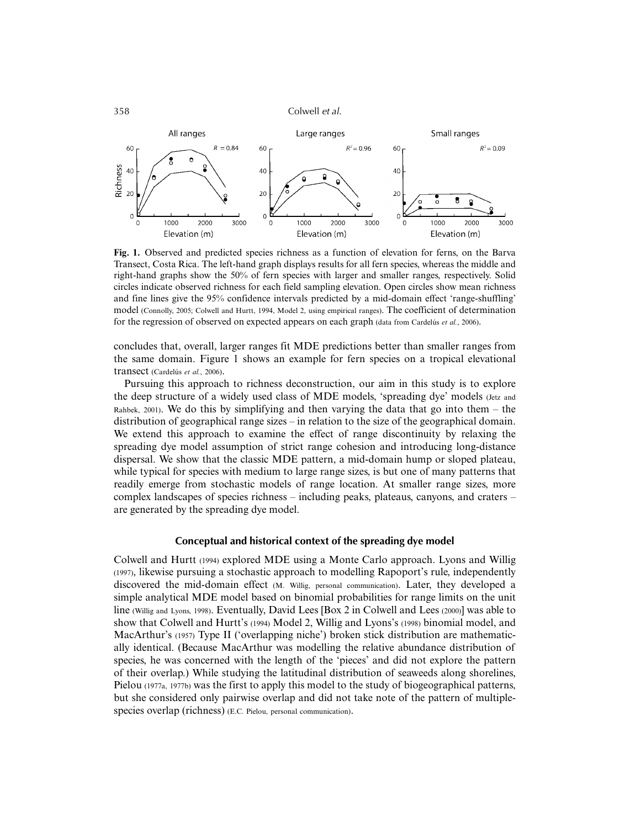

**Fig. 1.** Observed and predicted species richness as a function of elevation for ferns, on the Barva Transect, Costa Rica. The left-hand graph displays results for all fern species, whereas the middle and right-hand graphs show the 50% of fern species with larger and smaller ranges, respectively. Solid circles indicate observed richness for each field sampling elevation. Open circles show mean richness and fine lines give the 95% confidence intervals predicted by a mid-domain effect 'range-shuffling' model (Connolly, 2005; Colwell and Hurtt, 1994, Model 2, using empirical ranges). The coefficient of determination for the regression of observed on expected appears on each graph (data from Cardelús *et al.*, 2006).

concludes that, overall, larger ranges fit MDE predictions better than smaller ranges from the same domain. Figure 1 shows an example for fern species on a tropical elevational transect (Cardelús *et al.*, 2006).

Pursuing this approach to richness deconstruction, our aim in this study is to explore the deep structure of a widely used class of MDE models, 'spreading dye' models (Jetz and Rahbek, 2001). We do this by simplifying and then varying the data that go into them – the distribution of geographical range sizes – in relation to the size of the geographical domain. We extend this approach to examine the effect of range discontinuity by relaxing the spreading dye model assumption of strict range cohesion and introducing long-distance dispersal. We show that the classic MDE pattern, a mid-domain hump or sloped plateau, while typical for species with medium to large range sizes, is but one of many patterns that readily emerge from stochastic models of range location. At smaller range sizes, more complex landscapes of species richness – including peaks, plateaus, canyons, and craters – are generated by the spreading dye model.

## **Conceptual and historical context of the spreading dye model**

Colwell and Hurtt (1994) explored MDE using a Monte Carlo approach. Lyons and Willig (1997), likewise pursuing a stochastic approach to modelling Rapoport's rule, independently discovered the mid-domain effect (M. Willig, personal communication). Later, they developed a simple analytical MDE model based on binomial probabilities for range limits on the unit line (Willig and Lyons, 1998). Eventually, David Lees [Box 2 in Colwell and Lees (2000)] was able to show that Colwell and Hurtt's (1994) Model 2, Willig and Lyons's (1998) binomial model, and MacArthur's (1957) Type II ('overlapping niche') broken stick distribution are mathematically identical. (Because MacArthur was modelling the relative abundance distribution of species, he was concerned with the length of the 'pieces' and did not explore the pattern of their overlap.) While studying the latitudinal distribution of seaweeds along shorelines, Pielou (1977a, 1977b) was the first to apply this model to the study of biogeographical patterns, but she considered only pairwise overlap and did not take note of the pattern of multiplespecies overlap (richness) (E.C. Pielou, personal communication).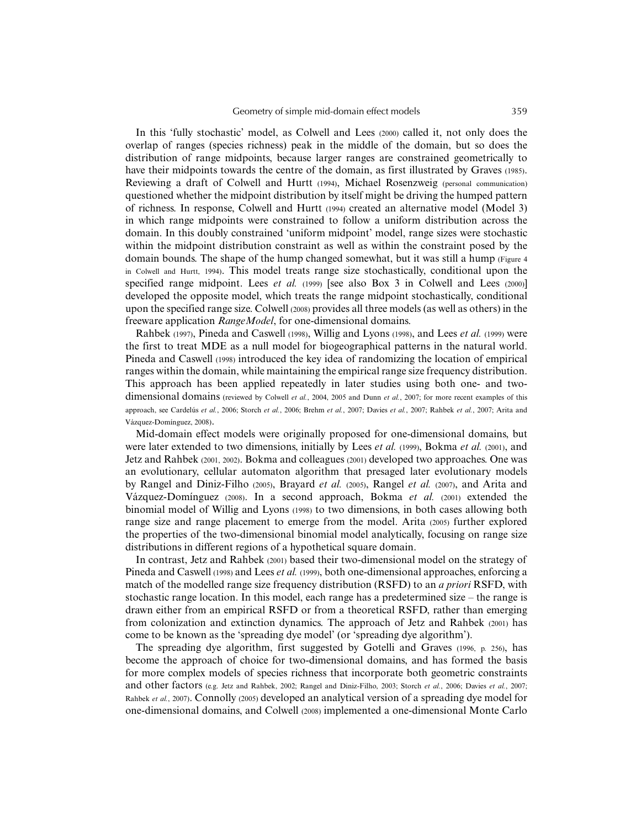In this 'fully stochastic' model, as Colwell and Lees (2000) called it, not only does the overlap of ranges (species richness) peak in the middle of the domain, but so does the distribution of range midpoints, because larger ranges are constrained geometrically to have their midpoints towards the centre of the domain, as first illustrated by Graves (1985). Reviewing a draft of Colwell and Hurtt (1994), Michael Rosenzweig (personal communication) questioned whether the midpoint distribution by itself might be driving the humped pattern of richness. In response, Colwell and Hurtt (1994) created an alternative model (Model 3) in which range midpoints were constrained to follow a uniform distribution across the domain. In this doubly constrained 'uniform midpoint' model, range sizes were stochastic within the midpoint distribution constraint as well as within the constraint posed by the domain bounds. The shape of the hump changed somewhat, but it was still a hump (Figure 4 in Colwell and Hurtt, 1994). This model treats range size stochastically, conditional upon the specified range midpoint. Lees *et al.* (1999) [see also Box 3 in Colwell and Lees (2000)] developed the opposite model, which treats the range midpoint stochastically, conditional upon the specified range size. Colwell (2008) provides all three models (as well as others) in the freeware application *RangeModel*, for one-dimensional domains.

Rahbek (1997), Pineda and Caswell (1998), Willig and Lyons (1998), and Lees *et al.* (1999) were the first to treat MDE as a null model for biogeographical patterns in the natural world. Pineda and Caswell (1998) introduced the key idea of randomizing the location of empirical ranges within the domain, while maintaining the empirical range size frequency distribution. This approach has been applied repeatedly in later studies using both one- and twodimensional domains (reviewed by Colwell *et al.*, 2004, 2005 and Dunn *et al.*, 2007; for more recent examples of this approach, see Cardelús *et al.*, 2006; Storch *et al.*, 2006; Brehm *et al.*, 2007; Davies *et al.*, 2007; Rahbek *et al.*, 2007; Arita and Vázquez-Domínguez, 2008).

Mid-domain effect models were originally proposed for one-dimensional domains, but were later extended to two dimensions, initially by Lees *et al.* (1999), Bokma *et al.* (2001), and Jetz and Rahbek (2001, 2002). Bokma and colleagues (2001) developed two approaches. One was an evolutionary, cellular automaton algorithm that presaged later evolutionary models by Rangel and Diniz-Filho (2005), Brayard *et al.* (2005), Rangel *et al.* (2007), and Arita and Vázquez-Domínguez (2008). In a second approach, Bokma *et al.* (2001) extended the binomial model of Willig and Lyons (1998) to two dimensions, in both cases allowing both range size and range placement to emerge from the model. Arita (2005) further explored the properties of the two-dimensional binomial model analytically, focusing on range size distributions in different regions of a hypothetical square domain.

In contrast, Jetz and Rahbek (2001) based their two-dimensional model on the strategy of Pineda and Caswell (1998) and Lees *et al.* (1999), both one-dimensional approaches, enforcing a match of the modelled range size frequency distribution (RSFD) to an *a priori* RSFD, with stochastic range location. In this model, each range has a predetermined size – the range is drawn either from an empirical RSFD or from a theoretical RSFD, rather than emerging from colonization and extinction dynamics. The approach of Jetz and Rahbek (2001) has come to be known as the 'spreading dye model' (or 'spreading dye algorithm').

The spreading dye algorithm, first suggested by Gotelli and Graves (1996, p. 256), has become the approach of choice for two-dimensional domains, and has formed the basis for more complex models of species richness that incorporate both geometric constraints and other factors (e.g. Jetz and Rahbek, 2002; Rangel and Diniz-Filho, 2003; Storch *et al.*, 2006; Davies *et al.*, 2007; Rahbek *et al.*, 2007). Connolly (2005) developed an analytical version of a spreading dye model for one-dimensional domains, and Colwell (2008) implemented a one-dimensional Monte Carlo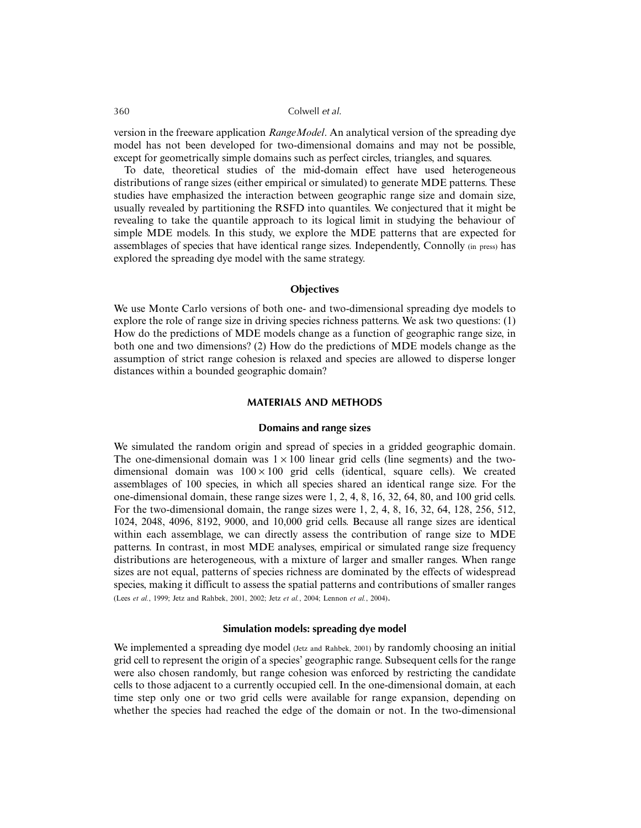version in the freeware application *RangeModel*. An analytical version of the spreading dye model has not been developed for two-dimensional domains and may not be possible, except for geometrically simple domains such as perfect circles, triangles, and squares.

To date, theoretical studies of the mid-domain effect have used heterogeneous distributions of range sizes (either empirical or simulated) to generate MDE patterns. These studies have emphasized the interaction between geographic range size and domain size, usually revealed by partitioning the RSFD into quantiles. We conjectured that it might be revealing to take the quantile approach to its logical limit in studying the behaviour of simple MDE models. In this study, we explore the MDE patterns that are expected for assemblages of species that have identical range sizes. Independently, Connolly (in press) has explored the spreading dye model with the same strategy.

## **Objectives**

We use Monte Carlo versions of both one- and two-dimensional spreading dye models to explore the role of range size in driving species richness patterns. We ask two questions: (1) How do the predictions of MDE models change as a function of geographic range size, in both one and two dimensions? (2) How do the predictions of MDE models change as the assumption of strict range cohesion is relaxed and species are allowed to disperse longer distances within a bounded geographic domain?

## **MATERIALS AND METHODS**

## **Domains and range sizes**

We simulated the random origin and spread of species in a gridded geographic domain. The one-dimensional domain was  $1 \times 100$  linear grid cells (line segments) and the twodimensional domain was  $100 \times 100$  grid cells (identical, square cells). We created assemblages of 100 species, in which all species shared an identical range size. For the one-dimensional domain, these range sizes were 1, 2, 4, 8, 16, 32, 64, 80, and 100 grid cells. For the two-dimensional domain, the range sizes were 1, 2, 4, 8, 16, 32, 64, 128, 256, 512, 1024, 2048, 4096, 8192, 9000, and 10,000 grid cells. Because all range sizes are identical within each assemblage, we can directly assess the contribution of range size to MDE patterns. In contrast, in most MDE analyses, empirical or simulated range size frequency distributions are heterogeneous, with a mixture of larger and smaller ranges. When range sizes are not equal, patterns of species richness are dominated by the effects of widespread species, making it difficult to assess the spatial patterns and contributions of smaller ranges (Lees *et al.*, 1999; Jetz and Rahbek, 2001, 2002; Jetz *et al.*, 2004; Lennon *et al.*, 2004).

## **Simulation models: spreading dye model**

We implemented a spreading dye model (Jetz and Rahbek, 2001) by randomly choosing an initial grid cell to represent the origin of a species' geographic range. Subsequent cells for the range were also chosen randomly, but range cohesion was enforced by restricting the candidate cells to those adjacent to a currently occupied cell. In the one-dimensional domain, at each time step only one or two grid cells were available for range expansion, depending on whether the species had reached the edge of the domain or not. In the two-dimensional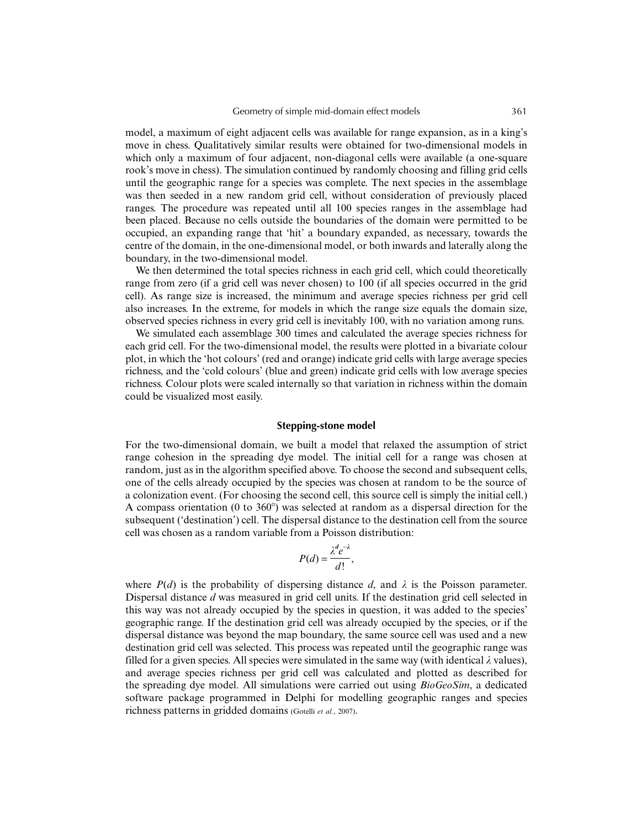model, a maximum of eight adjacent cells was available for range expansion, as in a king's move in chess. Qualitatively similar results were obtained for two-dimensional models in which only a maximum of four adjacent, non-diagonal cells were available (a one-square rook's move in chess). The simulation continued by randomly choosing and filling grid cells until the geographic range for a species was complete. The next species in the assemblage was then seeded in a new random grid cell, without consideration of previously placed ranges. The procedure was repeated until all 100 species ranges in the assemblage had been placed. Because no cells outside the boundaries of the domain were permitted to be occupied, an expanding range that 'hit' a boundary expanded, as necessary, towards the centre of the domain, in the one-dimensional model, or both inwards and laterally along the boundary, in the two-dimensional model.

We then determined the total species richness in each grid cell, which could theoretically range from zero (if a grid cell was never chosen) to 100 (if all species occurred in the grid cell). As range size is increased, the minimum and average species richness per grid cell also increases. In the extreme, for models in which the range size equals the domain size, observed species richness in every grid cell is inevitably 100, with no variation among runs.

We simulated each assemblage 300 times and calculated the average species richness for each grid cell. For the two-dimensional model, the results were plotted in a bivariate colour plot, in which the 'hot colours' (red and orange) indicate grid cells with large average species richness, and the 'cold colours' (blue and green) indicate grid cells with low average species richness. Colour plots were scaled internally so that variation in richness within the domain could be visualized most easily.

## **Stepping-stone model**

For the two-dimensional domain, we built a model that relaxed the assumption of strict range cohesion in the spreading dye model. The initial cell for a range was chosen at random, just as in the algorithm specified above. To choose the second and subsequent cells, one of the cells already occupied by the species was chosen at random to be the source of a colonization event. (For choosing the second cell, this source cell is simply the initial cell.) A compass orientation (0 to  $360^{\circ}$ ) was selected at random as a dispersal direction for the subsequent ('destination') cell. The dispersal distance to the destination cell from the source cell was chosen as a random variable from a Poisson distribution:

$$
P(d) = \frac{\lambda^d e^{-\lambda}}{d!},
$$

where  $P(d)$  is the probability of dispersing distance *d*, and  $\lambda$  is the Poisson parameter. Dispersal distance *d* was measured in grid cell units. If the destination grid cell selected in this way was not already occupied by the species in question, it was added to the species' geographic range. If the destination grid cell was already occupied by the species, or if the dispersal distance was beyond the map boundary, the same source cell was used and a new destination grid cell was selected. This process was repeated until the geographic range was filled for a given species. All species were simulated in the same way (with identical  $\lambda$  values), and average species richness per grid cell was calculated and plotted as described for the spreading dye model. All simulations were carried out using *BioGeoSim*, a dedicated software package programmed in Delphi for modelling geographic ranges and species richness patterns in gridded domains (Gotelli *et al.*, 2007).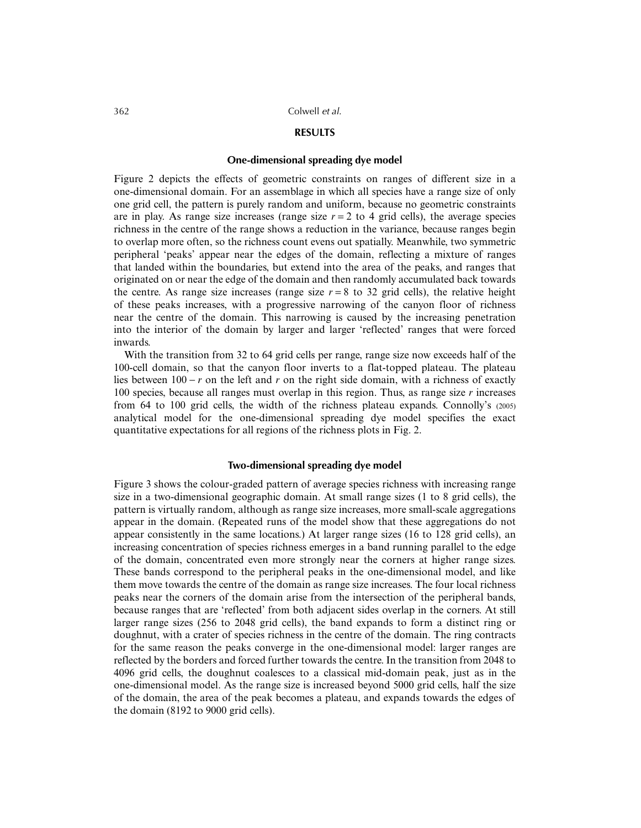#### **RESULTS**

## **One-dimensional spreading dye model**

Figure 2 depicts the effects of geometric constraints on ranges of different size in a one-dimensional domain. For an assemblage in which all species have a range size of only one grid cell, the pattern is purely random and uniform, because no geometric constraints are in play. As range size increases (range size  $r = 2$  to 4 grid cells), the average species richness in the centre of the range shows a reduction in the variance, because ranges begin to overlap more often, so the richness count evens out spatially. Meanwhile, two symmetric peripheral 'peaks' appear near the edges of the domain, reflecting a mixture of ranges that landed within the boundaries, but extend into the area of the peaks, and ranges that originated on or near the edge of the domain and then randomly accumulated back towards the centre. As range size increases (range size  $r = 8$  to 32 grid cells), the relative height of these peaks increases, with a progressive narrowing of the canyon floor of richness near the centre of the domain. This narrowing is caused by the increasing penetration into the interior of the domain by larger and larger 'reflected' ranges that were forced inwards.

With the transition from 32 to 64 grid cells per range, range size now exceeds half of the 100-cell domain, so that the canyon floor inverts to a flat-topped plateau. The plateau lies between 100 − *r* on the left and *r* on the right side domain, with a richness of exactly 100 species, because all ranges must overlap in this region. Thus, as range size *r* increases from 64 to 100 grid cells, the width of the richness plateau expands. Connolly's (2005) analytical model for the one-dimensional spreading dye model specifies the exact quantitative expectations for all regions of the richness plots in Fig. 2.

#### **Two-dimensional spreading dye model**

Figure 3 shows the colour-graded pattern of average species richness with increasing range size in a two-dimensional geographic domain. At small range sizes (1 to 8 grid cells), the pattern is virtually random, although as range size increases, more small-scale aggregations appear in the domain. (Repeated runs of the model show that these aggregations do not appear consistently in the same locations.) At larger range sizes (16 to 128 grid cells), an increasing concentration of species richness emerges in a band running parallel to the edge of the domain, concentrated even more strongly near the corners at higher range sizes. These bands correspond to the peripheral peaks in the one-dimensional model, and like them move towards the centre of the domain as range size increases. The four local richness peaks near the corners of the domain arise from the intersection of the peripheral bands, because ranges that are 'reflected' from both adjacent sides overlap in the corners. At still larger range sizes (256 to 2048 grid cells), the band expands to form a distinct ring or doughnut, with a crater of species richness in the centre of the domain. The ring contracts for the same reason the peaks converge in the one-dimensional model: larger ranges are reflected by the borders and forced further towards the centre. In the transition from 2048 to 4096 grid cells, the doughnut coalesces to a classical mid-domain peak, just as in the one-dimensional model. As the range size is increased beyond 5000 grid cells, half the size of the domain, the area of the peak becomes a plateau, and expands towards the edges of the domain (8192 to 9000 grid cells).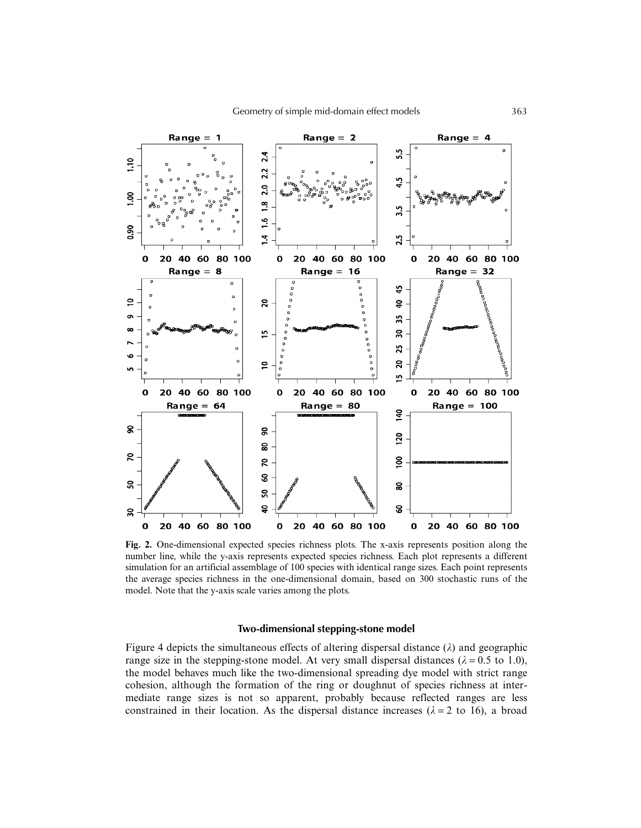

**Fig. 2.** One-dimensional expected species richness plots. The x-axis represents position along the number line, while the y-axis represents expected species richness. Each plot represents a different simulation for an artificial assemblage of 100 species with identical range sizes. Each point represents the average species richness in the one-dimensional domain, based on 300 stochastic runs of the model. Note that the y-axis scale varies among the plots.

## **Two-dimensional stepping-stone model**

Figure 4 depicts the simultaneous effects of altering dispersal distance  $(\lambda)$  and geographic range size in the stepping-stone model. At very small dispersal distances ( $\lambda = 0.5$  to 1.0), the model behaves much like the two-dimensional spreading dye model with strict range cohesion, although the formation of the ring or doughnut of species richness at intermediate range sizes is not so apparent, probably because reflected ranges are less constrained in their location. As the dispersal distance increases ( $\lambda = 2$  to 16), a broad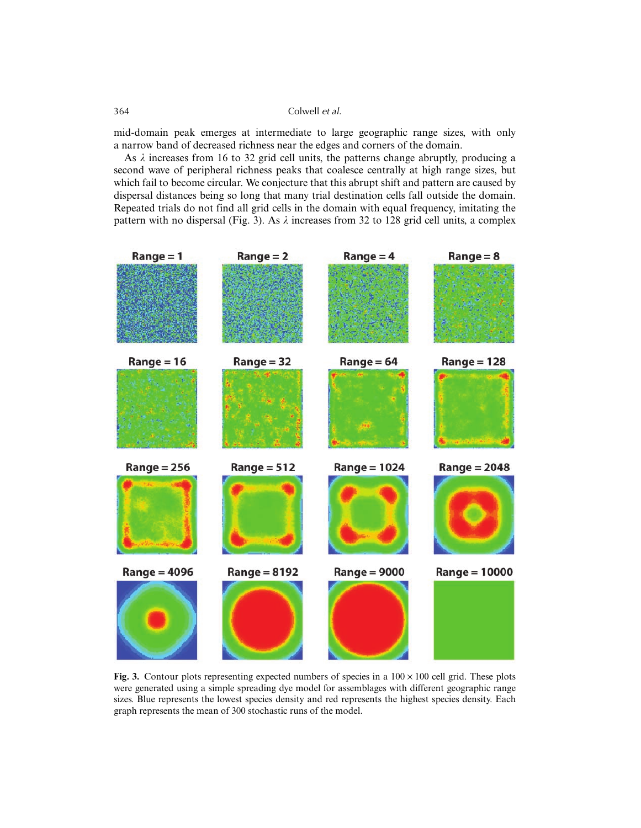mid-domain peak emerges at intermediate to large geographic range sizes, with only a narrow band of decreased richness near the edges and corners of the domain.

As  $\lambda$  increases from 16 to 32 grid cell units, the patterns change abruptly, producing a second wave of peripheral richness peaks that coalesce centrally at high range sizes, but which fail to become circular. We conjecture that this abrupt shift and pattern are caused by dispersal distances being so long that many trial destination cells fall outside the domain. Repeated trials do not find all grid cells in the domain with equal frequency, imitating the pattern with no dispersal (Fig. 3). As  $\lambda$  increases from 32 to 128 grid cell units, a complex



**Fig. 3.** Contour plots representing expected numbers of species in a  $100 \times 100$  cell grid. These plots were generated using a simple spreading dye model for assemblages with different geographic range sizes. Blue represents the lowest species density and red represents the highest species density. Each graph represents the mean of 300 stochastic runs of the model.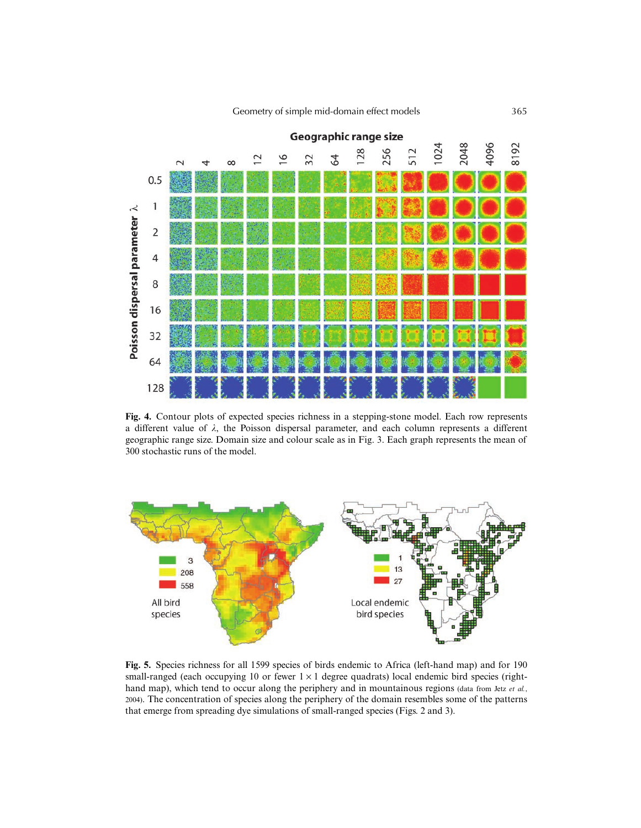Geometry of simple mid-domain effect models 365



**Fig. 4.** Contour plots of expected species richness in a stepping-stone model. Each row represents a different value of  $\lambda$ , the Poisson dispersal parameter, and each column represents a different geographic range size. Domain size and colour scale as in Fig. 3. Each graph represents the mean of 300 stochastic runs of the model.



**Fig. 5.** Species richness for all 1599 species of birds endemic to Africa (left-hand map) and for 190 small-ranged (each occupying 10 or fewer  $1 \times 1$  degree quadrats) local endemic bird species (righthand map), which tend to occur along the periphery and in mountainous regions (data from Jetz et al., 2004). The concentration of species along the periphery of the domain resembles some of the patterns that emerge from spreading dye simulations of small-ranged species (Figs. 2 and 3).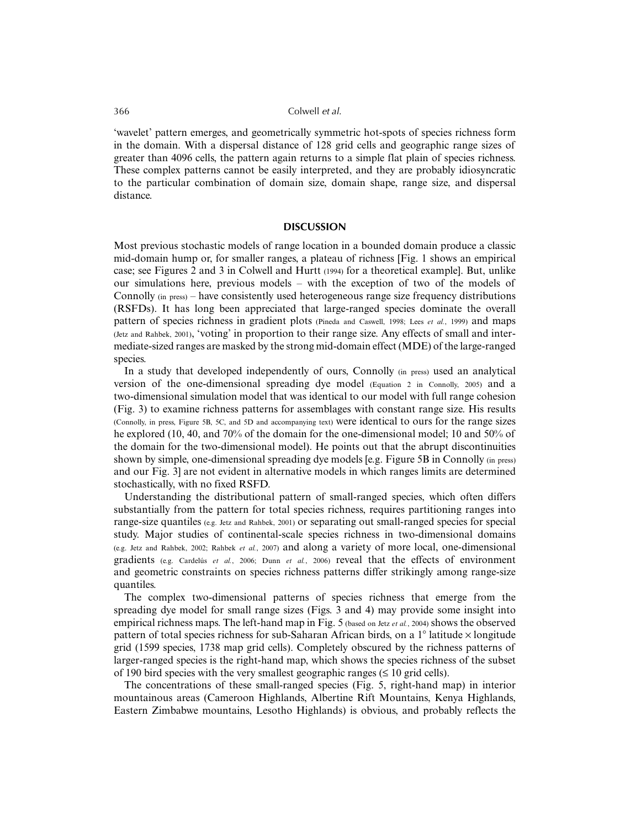'wavelet' pattern emerges, and geometrically symmetric hot-spots of species richness form in the domain. With a dispersal distance of 128 grid cells and geographic range sizes of greater than 4096 cells, the pattern again returns to a simple flat plain of species richness. These complex patterns cannot be easily interpreted, and they are probably idiosyncratic to the particular combination of domain size, domain shape, range size, and dispersal distance.

#### **DISCUSSION**

Most previous stochastic models of range location in a bounded domain produce a classic mid-domain hump or, for smaller ranges, a plateau of richness [Fig. 1 shows an empirical case; see Figures 2 and 3 in Colwell and Hurtt (1994) for a theoretical example]. But, unlike our simulations here, previous models – with the exception of two of the models of Connolly (in press) – have consistently used heterogeneous range size frequency distributions (RSFDs). It has long been appreciated that large-ranged species dominate the overall pattern of species richness in gradient plots (Pineda and Caswell, 1998; Lees *et al.*, 1999) and maps (Jetz and Rahbek, 2001), 'voting' in proportion to their range size. Any effects of small and intermediate-sized ranges are masked by the strong mid-domain effect (MDE) of the large-ranged species.

In a study that developed independently of ours, Connolly (in press) used an analytical version of the one-dimensional spreading dye model (Equation 2 in Connolly, 2005) and a two-dimensional simulation model that was identical to our model with full range cohesion (Fig. 3) to examine richness patterns for assemblages with constant range size. His results (Connolly, in press, Figure 5B, 5C, and 5D and accompanying text) were identical to ours for the range sizes he explored (10, 40, and 70% of the domain for the one-dimensional model; 10 and 50% of the domain for the two-dimensional model). He points out that the abrupt discontinuities shown by simple, one-dimensional spreading dye models [e.g. Figure 5B in Connolly (in press) and our Fig. 3] are not evident in alternative models in which ranges limits are determined stochastically, with no fixed RSFD.

Understanding the distributional pattern of small-ranged species, which often differs substantially from the pattern for total species richness, requires partitioning ranges into range-size quantiles (e.g. Jetz and Rahbek, 2001) or separating out small-ranged species for special study. Major studies of continental-scale species richness in two-dimensional domains (e.g. Jetz and Rahbek, 2002; Rahbek *et al.*, 2007) and along a variety of more local, one-dimensional gradients (e.g. Cardelús *et al.*, 2006; Dunn *et al.*, 2006) reveal that the effects of environment and geometric constraints on species richness patterns differ strikingly among range-size quantiles.

The complex two-dimensional patterns of species richness that emerge from the spreading dye model for small range sizes (Figs. 3 and 4) may provide some insight into empirical richness maps. The left-hand map in Fig. 5 (based on Jetz *et al.*, 2004) shows the observed pattern of total species richness for sub-Saharan African birds, on a  $1^\circ$  latitude  $\times$  longitude grid (1599 species, 1738 map grid cells). Completely obscured by the richness patterns of larger-ranged species is the right-hand map, which shows the species richness of the subset of 190 bird species with the very smallest geographic ranges ( $\leq 10$  grid cells).

The concentrations of these small-ranged species (Fig. 5, right-hand map) in interior mountainous areas (Cameroon Highlands, Albertine Rift Mountains, Kenya Highlands, Eastern Zimbabwe mountains, Lesotho Highlands) is obvious, and probably reflects the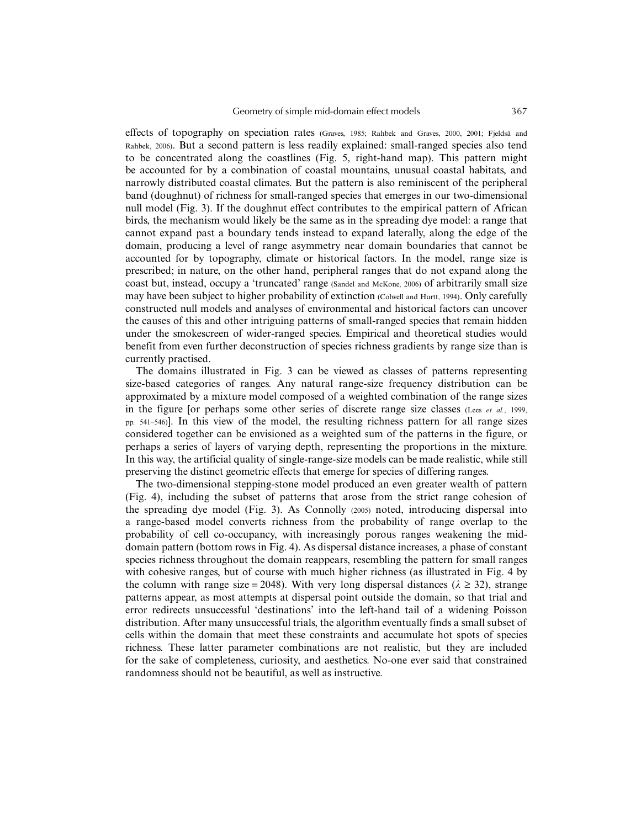effects of topography on speciation rates (Graves, 1985; Rahbek and Graves, 2000, 2001; Fjeldså and Rahbek, 2006). But a second pattern is less readily explained: small-ranged species also tend to be concentrated along the coastlines (Fig. 5, right-hand map). This pattern might be accounted for by a combination of coastal mountains, unusual coastal habitats, and narrowly distributed coastal climates. But the pattern is also reminiscent of the peripheral band (doughnut) of richness for small-ranged species that emerges in our two-dimensional null model (Fig. 3). If the doughnut effect contributes to the empirical pattern of African birds, the mechanism would likely be the same as in the spreading dye model: a range that cannot expand past a boundary tends instead to expand laterally, along the edge of the domain, producing a level of range asymmetry near domain boundaries that cannot be accounted for by topography, climate or historical factors. In the model, range size is prescribed; in nature, on the other hand, peripheral ranges that do not expand along the coast but, instead, occupy a 'truncated' range (Sandel and McKone, 2006) of arbitrarily small size may have been subject to higher probability of extinction (Colwell and Hurtt, 1994). Only carefully constructed null models and analyses of environmental and historical factors can uncover the causes of this and other intriguing patterns of small-ranged species that remain hidden under the smokescreen of wider-ranged species. Empirical and theoretical studies would benefit from even further deconstruction of species richness gradients by range size than is currently practised.

The domains illustrated in Fig. 3 can be viewed as classes of patterns representing size-based categories of ranges. Any natural range-size frequency distribution can be approximated by a mixture model composed of a weighted combination of the range sizes in the figure [or perhaps some other series of discrete range size classes (Lees *et al.*, 1999, pp. 541–546)]. In this view of the model, the resulting richness pattern for all range sizes considered together can be envisioned as a weighted sum of the patterns in the figure, or perhaps a series of layers of varying depth, representing the proportions in the mixture. In this way, the artificial quality of single-range-size models can be made realistic, while still preserving the distinct geometric effects that emerge for species of differing ranges.

The two-dimensional stepping-stone model produced an even greater wealth of pattern (Fig. 4), including the subset of patterns that arose from the strict range cohesion of the spreading dye model (Fig. 3). As Connolly (2005) noted, introducing dispersal into a range-based model converts richness from the probability of range overlap to the probability of cell co-occupancy, with increasingly porous ranges weakening the middomain pattern (bottom rows in Fig. 4). As dispersal distance increases, a phase of constant species richness throughout the domain reappears, resembling the pattern for small ranges with cohesive ranges, but of course with much higher richness (as illustrated in Fig. 4 by the column with range size = 2048). With very long dispersal distances ( $\lambda \ge 32$ ), strange patterns appear, as most attempts at dispersal point outside the domain, so that trial and error redirects unsuccessful 'destinations' into the left-hand tail of a widening Poisson distribution. After many unsuccessful trials, the algorithm eventually finds a small subset of cells within the domain that meet these constraints and accumulate hot spots of species richness. These latter parameter combinations are not realistic, but they are included for the sake of completeness, curiosity, and aesthetics. No-one ever said that constrained randomness should not be beautiful, as well as instructive.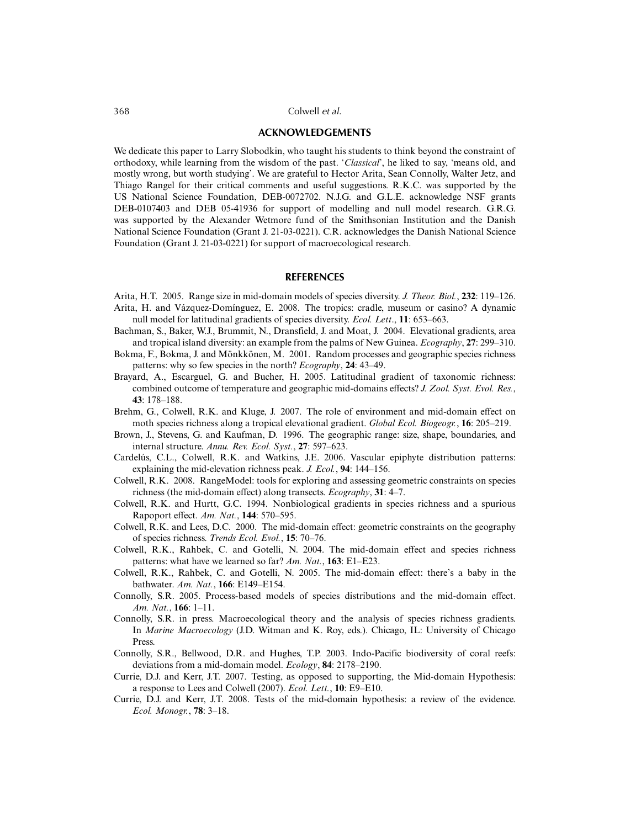## **ACKNOWLEDGEMENTS**

We dedicate this paper to Larry Slobodkin, who taught his students to think beyond the constraint of orthodoxy, while learning from the wisdom of the past. '*Classical*', he liked to say, 'means old, and mostly wrong, but worth studying'. We are grateful to Hector Arita, Sean Connolly, Walter Jetz, and Thiago Rangel for their critical comments and useful suggestions. R.K.C. was supported by the US National Science Foundation, DEB-0072702. N.J.G. and G.L.E. acknowledge NSF grants DEB-0107403 and DEB 05-41936 for support of modelling and null model research. G.R.G. was supported by the Alexander Wetmore fund of the Smithsonian Institution and the Danish National Science Foundation (Grant J. 21-03-0221). C.R. acknowledges the Danish National Science Foundation (Grant J. 21-03-0221) for support of macroecological research.

#### **REFERENCES**

- Arita, H.T. 2005. Range size in mid-domain models of species diversity. *J. Theor. Biol.*, **232**: 119–126. Arita, H. and Vázquez-Domínguez, E. 2008. The tropics: cradle, museum or casino? A dynamic null model for latitudinal gradients of species diversity. *Ecol. Lett*., **11**: 653–663.
- Bachman, S., Baker, W.J., Brummit, N., Dransfield, J. and Moat, J. 2004. Elevational gradients, area and tropical island diversity: an example from the palms of New Guinea. *Ecography*, **27**: 299–310.
- Bokma, F., Bokma, J. and Mönkkönen, M. 2001. Random processes and geographic species richness patterns: why so few species in the north? *Ecography*, **24**: 43–49.
- Brayard, A., Escarguel, G. and Bucher, H. 2005. Latitudinal gradient of taxonomic richness: combined outcome of temperature and geographic mid-domains effects? *J. Zool. Syst. Evol. Res.*, **43**: 178–188.
- Brehm, G., Colwell, R.K. and Kluge, J. 2007. The role of environment and mid-domain effect on moth species richness along a tropical elevational gradient. *Global Ecol. Biogeogr.*, **16**: 205–219.
- Brown, J., Stevens, G. and Kaufman, D. 1996. The geographic range: size, shape, boundaries, and internal structure. *Annu. Rev. Ecol. Syst.*, **27**: 597–623.
- Cardelús, C.L., Colwell, R.K. and Watkins, J.E. 2006. Vascular epiphyte distribution patterns: explaining the mid-elevation richness peak. *J. Ecol.*, **94**: 144–156.
- Colwell, R.K. 2008. RangeModel: tools for exploring and assessing geometric constraints on species richness (the mid-domain effect) along transects. *Ecography*, **31**: 4–7.
- Colwell, R.K. and Hurtt, G.C. 1994. Nonbiological gradients in species richness and a spurious Rapoport effect. *Am. Nat.*, **144**: 570–595.
- Colwell, R.K. and Lees, D.C. 2000. The mid-domain effect: geometric constraints on the geography of species richness. *Trends Ecol. Evol.*, **15**: 70–76.
- Colwell, R.K., Rahbek, C. and Gotelli, N. 2004. The mid-domain effect and species richness patterns: what have we learned so far? *Am. Nat.*, **163**: E1–E23.
- Colwell, R.K., Rahbek, C. and Gotelli, N. 2005. The mid-domain effect: there's a baby in the bathwater. *Am. Nat.*, **166**: E149–E154.
- Connolly, S.R. 2005. Process-based models of species distributions and the mid-domain effect. *Am. Nat.*, **166**: 1–11.
- Connolly, S.R. in press. Macroecological theory and the analysis of species richness gradients. In *Marine Macroecology* (J.D. Witman and K. Roy, eds.). Chicago, IL: University of Chicago Press.
- Connolly, S.R., Bellwood, D.R. and Hughes, T.P. 2003. Indo-Pacific biodiversity of coral reefs: deviations from a mid-domain model. *Ecology*, **84**: 2178–2190.
- Currie, D.J. and Kerr, J.T. 2007. Testing, as opposed to supporting, the Mid-domain Hypothesis: a response to Lees and Colwell (2007). *Ecol. Lett.*, **10**: E9–E10.
- Currie, D.J. and Kerr, J.T. 2008. Tests of the mid-domain hypothesis: a review of the evidence. *Ecol. Monogr.*, **78**: 3–18.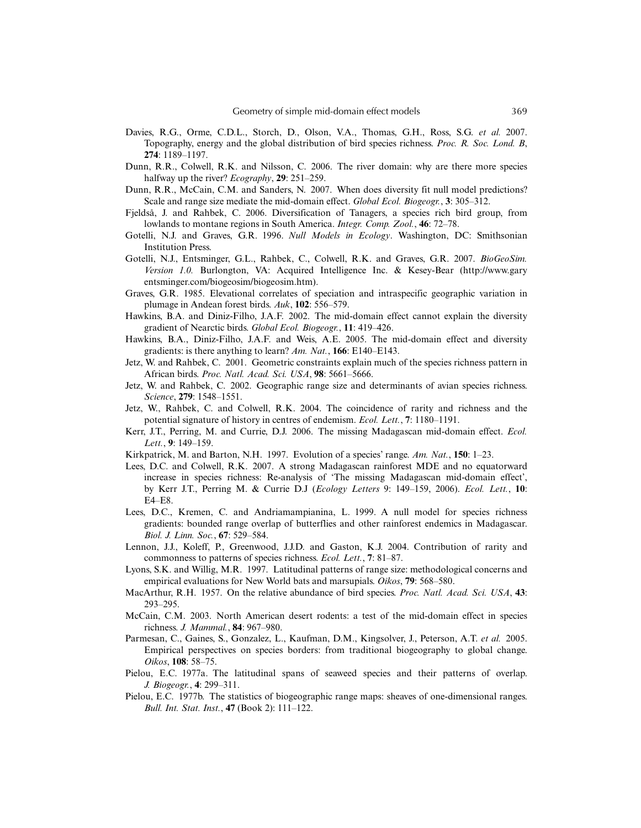- Davies, R.G., Orme, C.D.L., Storch, D., Olson, V.A., Thomas, G.H., Ross, S.G. *et al.* 2007. Topography, energy and the global distribution of bird species richness. *Proc. R. Soc. Lond. B*, **274**: 1189–1197.
- Dunn, R.R., Colwell, R.K. and Nilsson, C. 2006. The river domain: why are there more species halfway up the river? *Ecography*, **29**: 251–259.
- Dunn, R.R., McCain, C.M. and Sanders, N. 2007. When does diversity fit null model predictions? Scale and range size mediate the mid-domain effect. *Global Ecol. Biogeogr.*, **3**: 305–312.
- Fjeldså, J. and Rahbek, C. 2006. Diversification of Tanagers, a species rich bird group, from lowlands to montane regions in South America. *Integr. Comp. Zool.*, **46**: 72–78.
- Gotelli, N.J. and Graves, G.R. 1996. *Null Models in Ecology*. Washington, DC: Smithsonian Institution Press.
- Gotelli, N.J., Entsminger, G.L., Rahbek, C., Colwell, R.K. and Graves, G.R. 2007. *BioGeoSim. Version 1.0.* Burlongton, VA: Acquired Intelligence Inc. & Kesey-Bear (http://www.gary entsminger.com/biogeosim/biogeosim.htm).
- Graves, G.R. 1985. Elevational correlates of speciation and intraspecific geographic variation in plumage in Andean forest birds. *Auk*, **102**: 556–579.
- Hawkins, B.A. and Diniz-Filho, J.A.F. 2002. The mid-domain effect cannot explain the diversity gradient of Nearctic birds. *Global Ecol. Biogeogr.*, **11**: 419–426.
- Hawkins, B.A., Diniz-Filho, J.A.F. and Weis, A.E. 2005. The mid-domain effect and diversity gradients: is there anything to learn? *Am. Nat.*, **166**: E140–E143.
- Jetz, W. and Rahbek, C. 2001. Geometric constraints explain much of the species richness pattern in African birds. *Proc. Natl. Acad. Sci. USA*, **98**: 5661–5666.
- Jetz, W. and Rahbek, C. 2002. Geographic range size and determinants of avian species richness. *Science*, **279**: 1548–1551.
- Jetz, W., Rahbek, C. and Colwell, R.K. 2004. The coincidence of rarity and richness and the potential signature of history in centres of endemism. *Ecol. Lett.*, **7**: 1180–1191.
- Kerr, J.T., Perring, M. and Currie, D.J. 2006. The missing Madagascan mid-domain effect. *Ecol. Lett.*, **9**: 149–159.
- Kirkpatrick, M. and Barton, N.H. 1997. Evolution of a species' range. *Am. Nat.*, **150**: 1–23.
- Lees, D.C. and Colwell, R.K. 2007. A strong Madagascan rainforest MDE and no equatorward increase in species richness: Re-analysis of 'The missing Madagascan mid-domain effect', by Kerr J.T., Perring M. & Currie D.J (*Ecology Letters* 9: 149–159, 2006). *Ecol. Lett.*, **10**: E4–E8.
- Lees, D.C., Kremen, C. and Andriamampianina, L. 1999. A null model for species richness gradients: bounded range overlap of butterflies and other rainforest endemics in Madagascar. *Biol. J. Linn. Soc.*, **67**: 529–584.
- Lennon, J.J., Koleff, P., Greenwood, J.J.D. and Gaston, K.J. 2004. Contribution of rarity and commonness to patterns of species richness. *Ecol. Lett.*, **7**: 81–87.
- Lyons, S.K. and Willig, M.R. 1997. Latitudinal patterns of range size: methodological concerns and empirical evaluations for New World bats and marsupials. *Oikos*, **79**: 568–580.
- MacArthur, R.H. 1957. On the relative abundance of bird species. *Proc. Natl. Acad. Sci. USA*, **43**: 293–295.
- McCain, C.M. 2003. North American desert rodents: a test of the mid-domain effect in species richness. *J. Mammal.*, **84**: 967–980.
- Parmesan, C., Gaines, S., Gonzalez, L., Kaufman, D.M., Kingsolver, J., Peterson, A.T. *et al.* 2005. Empirical perspectives on species borders: from traditional biogeography to global change. *Oikos*, **108**: 58–75.
- Pielou, E.C. 1977a. The latitudinal spans of seaweed species and their patterns of overlap. *J. Biogeogr.*, **4**: 299–311.
- Pielou, E.C. 1977b. The statistics of biogeographic range maps: sheaves of one-dimensional ranges. *Bull. Int. Stat. Inst.*, **47** (Book 2): 111–122.